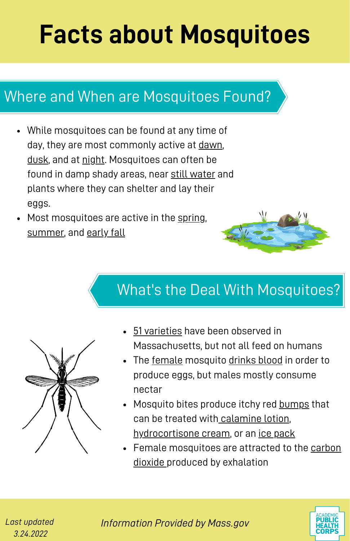# **Facts about Mosquitoes**

### Where and When are Mosquitoes Found?

- While mosquitoes can be found at any time of day, they are most commonly active at dawn, dusk, and at night. Mosquitoes can often be found in damp shady areas, near still water and plants where they can shelter and lay their eggs.
- Most mosquitoes are active in the spring, summer, and early fall



### What's the Deal With Mosquitoes?



- 51 varieties have been observed in Massachusetts, but not all feed on humans
- The female mosquito drinks blood in order to produce eggs, but males mostly consume nectar
- Mosquito bites produce itchy red bumps that can be treated with calamine lotion, hydrocortisone cream, or an ice pack
- Female mosquitoes are attracted to the carbon dioxide produced by exhalation

*Last updated 3.24.2022*

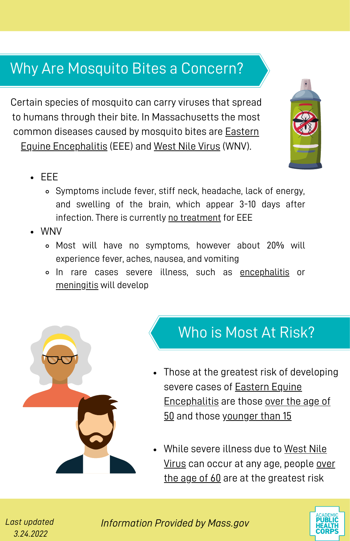### Why Are Mosquito Bites a Concern?

Certain species of mosquito can carry viruses that spread to humans through their bite. In Massachusetts the most common diseases caused by mosquito bites are Eastern Equine Encephalitis (EEE) and West Nile Virus (WNV).

- EEE
	- Symptoms include fever, stiff neck, headache, lack of energy, and swelling of the brain, which appear 3-10 days after infection. There is currently no treatment for EEE
- WNV
	- Most will have no symptoms, however about 20% will experience fever, aches, nausea, and vomiting
	- In rare cases severe illness, such as encephalitis or meningitis will develop



#### Who is Most At Risk?

- Those at the greatest risk of developing severe cases of Eastern Equine Encephalitis are those over the age of 50 and those younger than 15
- While severe illness due to West Nile Virus can occur at any age, people over the age of 60 are at the greatest risk



*Last updated 3.24.2022*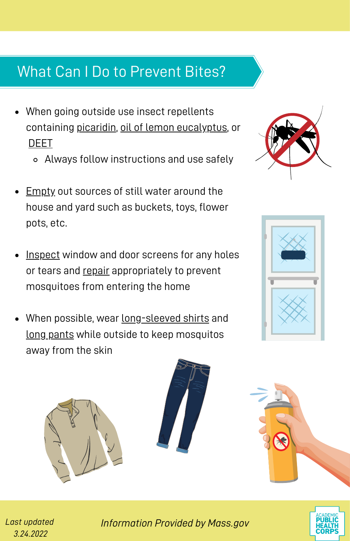## What Can I Do to Prevent Bites?

- When going outside use insect repellents containing picaridin, oil of lemon eucalyptus, or DEET
	- Always follow instructions and use safely
- Empty out sources of still water around the house and yard such as buckets, toys, flower pots, etc.
- Inspect window and door screens for any holes or tears and repair appropriately to prevent mosquitoes from entering the home
- When possible, wear long-sleeved shirts and long pants while outside to keep mosquitos away from the skin











*Last updated 3.24.2022*